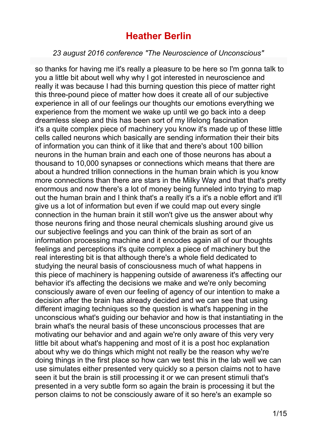#### *23 august 2016 conference "The Neuroscience of Unconscious"*

so thanks for having me it's really a pleasure to be here so I'm gonna talk to you a little bit about well why why I got interested in neuroscience and really it was because I had this burning question this piece of matter right this three-pound piece of matter how does it create all of our subjective experience in all of our feelings our thoughts our emotions everything we experience from the moment we wake up until we go back into a deep dreamless sleep and this has been sort of my lifelong fascination it's a quite complex piece of machinery you know it's made up of these little cells called neurons which basically are sending information their their bits of information you can think of it like that and there's about 100 billion neurons in the human brain and each one of those neurons has about a thousand to 10,000 synapses or connections which means that there are about a hundred trillion connections in the human brain which is you know more connections than there are stars in the Milky Way and that that's pretty enormous and now there's a lot of money being funneled into trying to map out the human brain and I think that's a really it's a it's a noble effort and it'll give us a lot of information but even if we could map out every single connection in the human brain it still won't give us the answer about why those neurons firing and those neural chemicals slushing around give us our subjective feelings and you can think of the brain as sort of an information processing machine and it encodes again all of our thoughts feelings and perceptions it's quite complex a piece of machinery but the real interesting bit is that although there's a whole field dedicated to studying the neural basis of consciousness much of what happens in this piece of machinery is happening outside of awareness it's affecting our behavior it's affecting the decisions we make and we're only becoming consciously aware of even our feeling of agency of our intention to make a decision after the brain has already decided and we can see that using different imaging techniques so the question is what's happening in the unconscious what's guiding our behavior and how is that instantiating in the brain what's the neural basis of these unconscious processes that are motivating our behavior and and again we're only aware of this very very little bit about what's happening and most of it is a post hoc explanation about why we do things which might not really be the reason why we're doing things in the first place so how can we test this in the lab well we can use simulates either presented very quickly so a person claims not to have seen it but the brain is still processing it or we can present stimuli that's presented in a very subtle form so again the brain is processing it but the person claims to not be consciously aware of it so here's an example so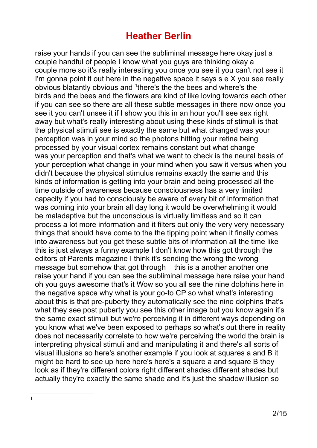<span id="page-1-0"></span>raise your hands if you can see the subliminal message here okay just a couple handful of people I know what you guys are thinking okay a couple more so it's really interesting you once you see it you can't not see it I'm gonna point it out here in the negative space it says s e X you see really obvious blatantly obvious and <sup>[1](#page-1-0)</sup>there's the the bees and where's the birds and the bees and the flowers are kind of like loving towards each other if you can see so there are all these subtle messages in there now once you see it you can't unsee it if I show you this in an hour you'll see sex right away but what's really interesting about using these kinds of stimuli is that the physical stimuli see is exactly the same but what changed was your perception was in your mind so the photons hitting your retina being processed by your visual cortex remains constant but what change was your perception and that's what we want to check is the neural basis of your perception what change in your mind when you saw it versus when you didn't because the physical stimulus remains exactly the same and this kinds of information is getting into your brain and being processed all the time outside of awareness because consciousness has a very limited capacity if you had to consciously be aware of every bit of information that was coming into your brain all day long it would be overwhelming it would be maladaptive but the unconscious is virtually limitless and so it can process a lot more information and it filters out only the very very necessary things that should have come to the the tipping point when it finally comes into awareness but you get these subtle bits of information all the time like this is just always a funny example I don't know how this got through the editors of Parents magazine I think it's sending the wrong the wrong message but somehow that got through this is a another another one raise your hand if you can see the subliminal message here raise your hand oh you guys awesome that's it Wow so you all see the nine dolphins here in the negative space why what is your go-to CP so what what's interesting about this is that pre-puberty they automatically see the nine dolphins that's what they see post puberty you see this other image but you know again it's the same exact stimuli but we're perceiving it in different ways depending on you know what we've been exposed to perhaps so what's out there in reality does not necessarily correlate to how we're perceiving the world the brain is interpreting physical stimuli and and manipulating it and there's all sorts of visual illusions so here's another example if you look at squares a and B it might be hard to see up here here's here's a square a and square B they look as if they're different colors right different shades different shades but actually they're exactly the same shade and it's just the shadow illusion so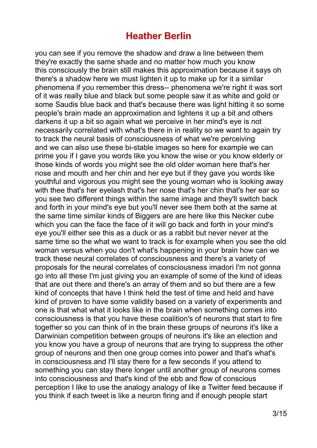you can see if you remove the shadow and draw a line between them they're exactly the same shade and no matter how much you know this consciously the brain still makes this approximation because it says oh there's a shadow here we must lighten it up to make up for it a similar phenomena if you remember this dress-- phenomena we're right it was sort of it was really blue and black but some people saw it as white and gold or some Saudis blue back and that's because there was light hitting it so some people's brain made an approximation and lightens it up a bit and others darkens it up a bit so again what we perceive in her mind's eye is not necessarily correlated with what's there in in reality so we want to again try to track the neural basis of consciousness of what we're perceiving and we can also use these bi-stable images so here for example we can prime you if I gave you words like you know the wise or you know elderly or those kinds of words you might see the old older woman here that's her nose and mouth and her chin and her eye but if they gave you words like youthful and vigorous you might see the young woman who is looking away with thee that's her eyelash that's her nose that's her chin that's her ear so you see two different things within the same image and they'll switch back and forth in your mind's eye but you'll never see them both at the same at the same time similar kinds of Biggers are are here like this Necker cube which you can the face the face of it will go back and forth in your mind's eye you'll either see this as a duck or as a rabbit but never never at the same time so the what we want to track is for example when you see the old woman versus when you don't what's happening in your brain how can we track these neural correlates of consciousness and there's a variety of proposals for the neural correlates of consciousness imadori I'm not gonna go into all these I'm just giving you an example of some of the kind of ideas that are out there and there's an array of them and so but there are a few kind of concepts that have I think held the test of time and held and have kind of proven to have some validity based on a variety of experiments and one is that what what it looks like in the brain when something comes into consciousness is that you have these coalition's of neurons that start to fire together so you can think of in the brain these groups of neurons it's like a Darwinian competition between groups of neurons it's like an election and you know you have a group of neurons that are trying to suppress the other group of neurons and then one group comes into power and that's what's in consciousness and I'll stay there for a few seconds if you attend to something you can stay there longer until another group of neurons comes into consciousness and that's kind of the ebb and flow of conscious perception I like to use the analogy analogy of like a Twitter feed because if you think if each tweet is like a neuron firing and if enough people start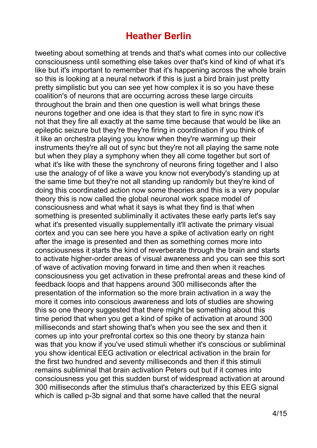tweeting about something at trends and that's what comes into our collective consciousness until something else takes over that's kind of kind of what it's like but it's important to remember that it's happening across the whole brain so this is looking at a neural network if this is just a bird brain just pretty pretty simplistic but you can see yet how complex it is so you have these coalition's of neurons that are occurring across these large circuits throughout the brain and then one question is well what brings these neurons together and one idea is that they start to fire in sync now it's not that they fire all exactly at the same time because that would be like an epileptic seizure but they're they're firing in coordination if you think of it like an orchestra playing you know when they're warming up their instruments they're all out of sync but they're not all playing the same note but when they play a symphony when they all come together but sort of what it's like with these the synchrony of neurons firing together and I also use the analogy of of like a wave you know not everybody's standing up at the same time but they're not all standing up randomly but they're kind of doing this coordinated action now some theories and this is a very popular theory this is now called the global neuronal work space model of consciousness and what what it says is what they find is that when something is presented subliminally it activates these early parts let's say what it's presented visually supplementally it'll activate the primary visual cortex and you can see here you have a spike of activation early on right after the image is presented and then as something comes more into consciousness it starts the kind of reverberate through the brain and starts to activate higher-order areas of visual awareness and you can see this sort of wave of activation moving forward in time and then when it reaches consciousness you get activation in these prefrontal areas and these kind of feedback loops and that happens around 300 milliseconds after the presentation of the information so the more brain activation in a way the more it comes into conscious awareness and lots of studies are showing this so one theory suggested that there might be something about this time period that when you get a kind of spike of activation at around 300 milliseconds and start showing that's when you see the sex and then it comes up into your prefrontal cortex so this one theory by stanza hain was that you know if you've used stimuli whether it's conscious or subliminal you show identical EEG activation or electrical activation in the brain for the first two hundred and seventy milliseconds and then if this stimuli remains subliminal that brain activation Peters out but if it comes into consciousness you get this sudden burst of widespread activation at around 300 milliseconds after the stimulus that's characterized by this EEG signal which is called p-3b signal and that some have called that the neural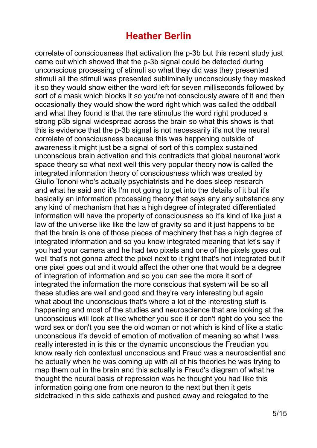correlate of consciousness that activation the p-3b but this recent study just came out which showed that the p-3b signal could be detected during unconscious processing of stimuli so what they did was they presented stimuli all the stimuli was presented subliminally unconsciously they masked it so they would show either the word left for seven milliseconds followed by sort of a mask which blocks it so you're not consciously aware of it and then occasionally they would show the word right which was called the oddball and what they found is that the rare stimulus the word right produced a strong p3b signal widespread across the brain so what this shows is that this is evidence that the p-3b signal is not necessarily it's not the neural correlate of consciousness because this was happening outside of awareness it might just be a signal of sort of this complex sustained unconscious brain activation and this contradicts that global neuronal work space theory so what next well this very popular theory now is called the integrated information theory of consciousness which was created by Giulio Tononi who's actually psychiatrists and he does sleep research and what he said and it's I'm not going to get into the details of it but it's basically an information processing theory that says any any substance any any kind of mechanism that has a high degree of integrated differentiated information will have the property of consciousness so it's kind of like just a law of the universe like like the law of gravity so and it just happens to be that the brain is one of those pieces of machinery that has a high degree of integrated information and so you know integrated meaning that let's say if you had your camera and he had two pixels and one of the pixels goes out well that's not gonna affect the pixel next to it right that's not integrated but if one pixel goes out and it would affect the other one that would be a degree of integration of information and so you can see the more it sort of integrated the information the more conscious that system will be so all these studies are well and good and they're very interesting but again what about the unconscious that's where a lot of the interesting stuff is happening and most of the studies and neuroscience that are looking at the unconscious will look at like whether you see it or don't right do you see the word sex or don't you see the old woman or not which is kind of like a static unconscious it's devoid of emotion of motivation of meaning so what I was really interested in is this or the dynamic unconscious the Freudian you know really rich contextual unconscious and Freud was a neuroscientist and he actually when he was coming up with all of his theories he was trying to map them out in the brain and this actually is Freud's diagram of what he thought the neural basis of repression was he thought you had like this information going one from one neuron to the next but then it gets sidetracked in this side cathexis and pushed away and relegated to the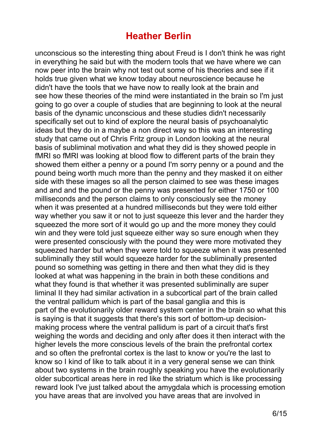unconscious so the interesting thing about Freud is I don't think he was right in everything he said but with the modern tools that we have where we can now peer into the brain why not test out some of his theories and see if it holds true given what we know today about neuroscience because he didn't have the tools that we have now to really look at the brain and see how these theories of the mind were instantiated in the brain so I'm just going to go over a couple of studies that are beginning to look at the neural basis of the dynamic unconscious and these studies didn't necessarily specifically set out to kind of explore the neural basis of psychoanalytic ideas but they do in a maybe a non direct way so this was an interesting study that came out of Chris Fritz group in London looking at the neural basis of subliminal motivation and what they did is they showed people in fMRI so fMRI was looking at blood flow to different parts of the brain they showed them either a penny or a pound I'm sorry penny or a pound and the pound being worth much more than the penny and they masked it on either side with these images so all the person claimed to see was these images and and and the pound or the penny was presented for either 1750 or 100 milliseconds and the person claims to only consciously see the money when it was presented at a hundred milliseconds but they were told either way whether you saw it or not to just squeeze this lever and the harder they squeezed the more sort of it would go up and the more money they could win and they were told just squeeze either way so sure enough when they were presented consciously with the pound they were more motivated they squeezed harder but when they were told to squeeze when it was presented subliminally they still would squeeze harder for the subliminally presented pound so something was getting in there and then what they did is they looked at what was happening in the brain in both these conditions and what they found is that whether it was presented subliminally are super liminal II they had similar activation in a subcortical part of the brain called the ventral pallidum which is part of the basal ganglia and this is part of the evolutionarily older reward system center in the brain so what this is saying is that it suggests that there's this sort of bottom-up decisionmaking process where the ventral pallidum is part of a circuit that's first weighing the words and deciding and only after does it then interact with the higher levels the more conscious levels of the brain the prefrontal cortex and so often the prefrontal cortex is the last to know or you're the last to know so I kind of like to talk about it in a very general sense we can think about two systems in the brain roughly speaking you have the evolutionarily older subcortical areas here in red like the striatum which is like processing reward look I've just talked about the amygdala which is processing emotion you have areas that are involved you have areas that are involved in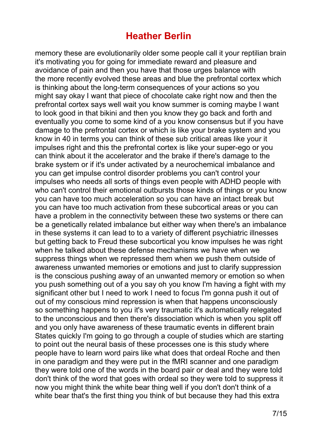memory these are evolutionarily older some people call it your reptilian brain it's motivating you for going for immediate reward and pleasure and avoidance of pain and then you have that those urges balance with the more recently evolved these areas and blue the prefrontal cortex which is thinking about the long-term consequences of your actions so you might say okay I want that piece of chocolate cake right now and then the prefrontal cortex says well wait you know summer is coming maybe I want to look good in that bikini and then you know they go back and forth and eventually you come to some kind of a you know consensus but if you have damage to the prefrontal cortex or which is like your brake system and you know in 40 in terms you can think of these sub critical areas like your it impulses right and this the prefrontal cortex is like your super-ego or you can think about it the accelerator and the brake if there's damage to the brake system or if it's under activated by a neurochemical imbalance and you can get impulse control disorder problems you can't control your impulses who needs all sorts of things even people with ADHD people with who can't control their emotional outbursts those kinds of things or you know you can have too much acceleration so you can have an intact break but you can have too much activation from these subcortical areas or you can have a problem in the connectivity between these two systems or there can be a genetically related imbalance but either way when there's an imbalance in these systems it can lead to to a variety of different psychiatric illnesses but getting back to Freud these subcortical you know impulses he was right when he talked about these defense mechanisms we have when we suppress things when we repressed them when we push them outside of awareness unwanted memories or emotions and just to clarify suppression is the conscious pushing away of an unwanted memory or emotion so when you push something out of a you say oh you know I'm having a fight with my significant other but I need to work I need to focus I'm gonna push it out of out of my conscious mind repression is when that happens unconsciously so something happens to you it's very traumatic it's automatically relegated to the unconscious and then there's dissociation which is when you split off and you only have awareness of these traumatic events in different brain States quickly I'm going to go through a couple of studies which are starting to point out the neural basis of these processes one is this study where people have to learn word pairs like what does that ordeal Roche and then in one paradigm and they were put in the fMRI scanner and one paradigm they were told one of the words in the board pair or deal and they were told don't think of the word that goes with ordeal so they were told to suppress it now you might think the white bear thing well if you don't don't think of a white bear that's the first thing you think of but because they had this extra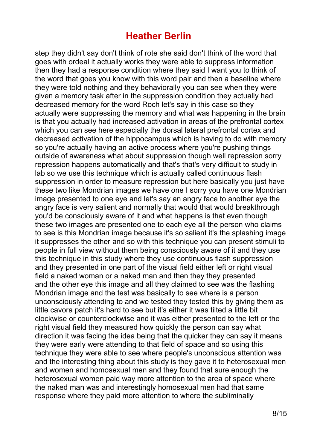step they didn't say don't think of rote she said don't think of the word that goes with ordeal it actually works they were able to suppress information then they had a response condition where they said I want you to think of the word that goes you know with this word pair and then a baseline where they were told nothing and they behaviorally you can see when they were given a memory task after in the suppression condition they actually had decreased memory for the word Roch let's say in this case so they actually were suppressing the memory and what was happening in the brain is that you actually had increased activation in areas of the prefrontal cortex which you can see here especially the dorsal lateral prefrontal cortex and decreased activation of the hippocampus which is having to do with memory so you're actually having an active process where you're pushing things outside of awareness what about suppression though well repression sorry repression happens automatically and that's that's very difficult to study in lab so we use this technique which is actually called continuous flash suppression in order to measure repression but here basically you just have these two like Mondrian images we have one I sorry you have one Mondrian image presented to one eye and let's say an angry face to another eye the angry face is very salient and normally that would that would breakthrough you'd be consciously aware of it and what happens is that even though these two images are presented one to each eye all the person who claims to see is this Mondrian image because it's so salient it's the splashing image it suppresses the other and so with this technique you can present stimuli to people in full view without them being consciously aware of it and they use this technique in this study where they use continuous flash suppression and they presented in one part of the visual field either left or right visual field a naked woman or a naked man and then they they presented and the other eye this image and all they claimed to see was the flashing Mondrian image and the test was basically to see where is a person unconsciously attending to and we tested they tested this by giving them as little cavora patch it's hard to see but it's either it was tilted a little bit clockwise or counterclockwise and it was either presented to the left or the right visual field they measured how quickly the person can say what direction it was facing the idea being that the quicker they can say it means they were early were attending to that field of space and so using this technique they were able to see where people's unconscious attention was and the interesting thing about this study is they gave it to heterosexual men and women and homosexual men and they found that sure enough the heterosexual women paid way more attention to the area of space where the naked man was and interestingly homosexual men had that same response where they paid more attention to where the subliminally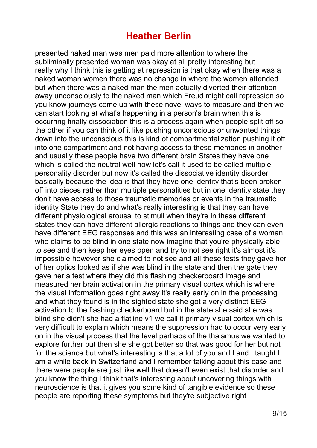presented naked man was men paid more attention to where the subliminally presented woman was okay at all pretty interesting but really why I think this is getting at repression is that okay when there was a naked woman women there was no change in where the women attended but when there was a naked man the men actually diverted their attention away unconsciously to the naked man which Freud might call repression so you know journeys come up with these novel ways to measure and then we can start looking at what's happening in a person's brain when this is occurring finally dissociation this is a process again when people split off so the other if you can think of it like pushing unconscious or unwanted things down into the unconscious this is kind of compartmentalization pushing it off into one compartment and not having access to these memories in another and usually these people have two different brain States they have one which is called the neutral well now let's call it used to be called multiple personality disorder but now it's called the dissociative identity disorder basically because the idea is that they have one identity that's been broken off into pieces rather than multiple personalities but in one identity state they don't have access to those traumatic memories or events in the traumatic identity State they do and what's really interesting is that they can have different physiological arousal to stimuli when they're in these different states they can have different allergic reactions to things and they can even have different EEG responses and this was an interesting case of a woman who claims to be blind in one state now imagine that you're physically able to see and then keep her eyes open and try to not see right it's almost it's impossible however she claimed to not see and all these tests they gave her of her optics looked as if she was blind in the state and then the gate they gave her a test where they did this flashing checkerboard image and measured her brain activation in the primary visual cortex which is where the visual information goes right away it's really early on in the processing and what they found is in the sighted state she got a very distinct EEG activation to the flashing checkerboard but in the state she said she was blind she didn't she had a flatline v1 we call it primary visual cortex which is very difficult to explain which means the suppression had to occur very early on in the visual process that the level perhaps of the thalamus we wanted to explore further but then she she got better so that was good for her but not for the science but what's interesting is that a lot of you and I and I taught I am a while back in Switzerland and I remember talking about this case and there were people are just like well that doesn't even exist that disorder and you know the thing I think that's interesting about uncovering things with neuroscience is that it gives you some kind of tangible evidence so these people are reporting these symptoms but they're subjective right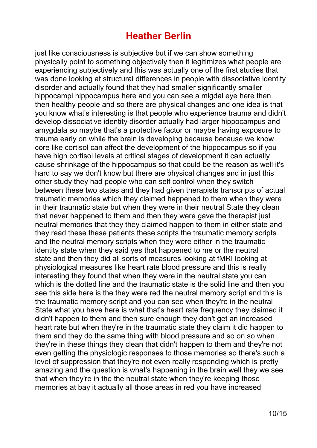just like consciousness is subjective but if we can show something physically point to something objectively then it legitimizes what people are experiencing subjectively and this was actually one of the first studies that was done looking at structural differences in people with dissociative identity disorder and actually found that they had smaller significantly smaller hippocampi hippocampus here and you can see a migdal eye here then then healthy people and so there are physical changes and one idea is that you know what's interesting is that people who experience trauma and didn't develop dissociative identity disorder actually had larger hippocampus and amygdala so maybe that's a protective factor or maybe having exposure to trauma early on while the brain is developing because because we know core like cortisol can affect the development of the hippocampus so if you have high cortisol levels at critical stages of development it can actually cause shrinkage of the hippocampus so that could be the reason as well it's hard to say we don't know but there are physical changes and in just this other study they had people who can self control when they switch between these two states and they had given therapists transcripts of actual traumatic memories which they claimed happened to them when they were in their traumatic state but when they were in their neutral State they clean that never happened to them and then they were gave the therapist just neutral memories that they they claimed happen to them in either state and they read these these patients these scripts the traumatic memory scripts and the neutral memory scripts when they were either in the traumatic identity state when they said yes that happened to me or the neutral state and then they did all sorts of measures looking at fMRI looking at physiological measures like heart rate blood pressure and this is really interesting they found that when they were in the neutral state you can which is the dotted line and the traumatic state is the solid line and then you see this side here is the they were red the neutral memory script and this is the traumatic memory script and you can see when they're in the neutral State what you have here is what that's heart rate frequency they claimed it didn't happen to them and then sure enough they don't get an increased heart rate but when they're in the traumatic state they claim it did happen to them and they do the same thing with blood pressure and so on so when they're in these things they clean that didn't happen to them and they're not even getting the physiologic responses to those memories so there's such a level of suppression that they're not even really responding which is pretty amazing and the question is what's happening in the brain well they we see that when they're in the the neutral state when they're keeping those memories at bay it actually all those areas in red you have increased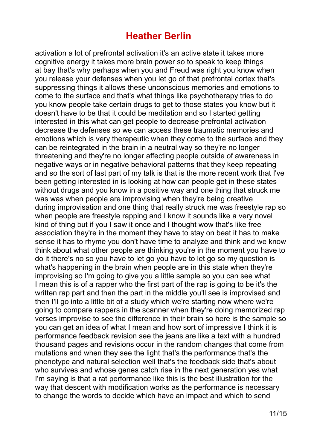activation a lot of prefrontal activation it's an active state it takes more cognitive energy it takes more brain power so to speak to keep things at bay that's why perhaps when you and Freud was right you know when you release your defenses when you let go of that prefrontal cortex that's suppressing things it allows these unconscious memories and emotions to come to the surface and that's what things like psychotherapy tries to do you know people take certain drugs to get to those states you know but it doesn't have to be that it could be meditation and so I started getting interested in this what can get people to decrease prefrontal activation decrease the defenses so we can access these traumatic memories and emotions which is very therapeutic when they come to the surface and they can be reintegrated in the brain in a neutral way so they're no longer threatening and they're no longer affecting people outside of awareness in negative ways or in negative behavioral patterns that they keep repeating and so the sort of last part of my talk is that is the more recent work that I've been getting interested in is looking at how can people get in these states without drugs and you know in a positive way and one thing that struck me was was when people are improvising when they're being creative during improvisation and one thing that really struck me was freestyle rap so when people are freestyle rapping and I know it sounds like a very novel kind of thing but if you I saw it once and I thought wow that's like free association they're in the moment they have to stay on beat it has to make sense it has to rhyme you don't have time to analyze and think and we know think about what other people are thinking you're in the moment you have to do it there's no so you have to let go you have to let go so my question is what's happening in the brain when people are in this state when they're improvising so I'm going to give you a little sample so you can see what I mean this is of a rapper who the first part of the rap is going to be it's the written rap part and then the part in the middle you'll see is improvised and then I'll go into a little bit of a study which we're starting now where we're going to compare rappers in the scanner when they're doing memorized rap verses improvise to see the difference in their brain so here is the sample so you can get an idea of what I mean and how sort of impressive I think it is performance feedback revision see the jeans are like a text with a hundred thousand pages and revisions occur in the random changes that come from mutations and when they see the light that's the performance that's the phenotype and natural selection well that's the feedback side that's about who survives and whose genes catch rise in the next generation yes what I'm saying is that a rat performance like this is the best illustration for the way that descent with modification works as the performance is necessary to change the words to decide which have an impact and which to send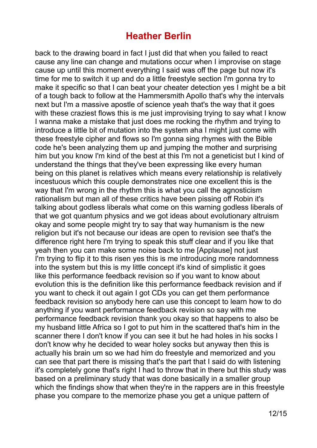back to the drawing board in fact I just did that when you failed to react cause any line can change and mutations occur when I improvise on stage cause up until this moment everything I said was off the page but now it's time for me to switch it up and do a little freestyle section I'm gonna try to make it specific so that I can beat your cheater detection yes I might be a bit of a tough back to follow at the Hammersmith Apollo that's why the intervals next but I'm a massive apostle of science yeah that's the way that it goes with these craziest flows this is me just improvising trying to say what I know I wanna make a mistake that just does me rocking the rhythm and trying to introduce a little bit of mutation into the system aha I might just come with these freestyle cipher and flows so I'm gonna sing rhymes with the Bible code he's been analyzing them up and jumping the mother and surprising him but you know I'm kind of the best at this I'm not a geneticist but I kind of understand the things that they've been expressing like every human being on this planet is relatives which means every relationship is relatively incestuous which this couple demonstrates nice one excellent this is the way that I'm wrong in the rhythm this is what you call the agnosticism rationalism but man all of these critics have been pissing off Robin it's talking about godless liberals what come on this warning godless liberals of that we got quantum physics and we got ideas about evolutionary altruism okay and some people might try to say that way humanism is the new religion but it's not because our ideas are open to revision see that's the difference right here I'm trying to speak this stuff clear and if you like that yeah then you can make some noise back to me [Applause] not just I'm trying to flip it to this risen yes this is me introducing more randomness into the system but this is my little concept it's kind of simplistic it goes like this performance feedback revision so if you want to know about evolution this is the definition like this performance feedback revision and if you want to check it out again I got CDs you can get them performance feedback revision so anybody here can use this concept to learn how to do anything if you want performance feedback revision so say with me performance feedback revision thank you okay so that happens to also be my husband little Africa so I got to put him in the scattered that's him in the scanner there I don't know if you can see it but he had holes in his socks I don't know why he decided to wear holey socks but anyway then this is actually his brain um so we had him do freestyle and memorized and you can see that part there is missing that's the part that I said do with listening it's completely gone that's right I had to throw that in there but this study was based on a preliminary study that was done basically in a smaller group which the findings show that when they're in the rappers are in this freestyle phase you compare to the memorize phase you get a unique pattern of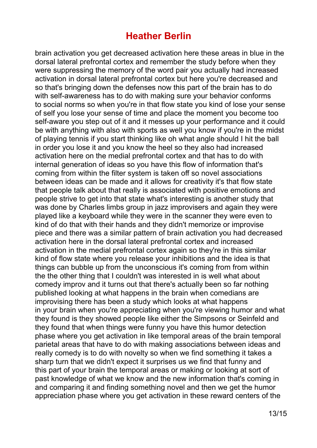brain activation you get decreased activation here these areas in blue in the dorsal lateral prefrontal cortex and remember the study before when they were suppressing the memory of the word pair you actually had increased activation in dorsal lateral prefrontal cortex but here you're decreased and so that's bringing down the defenses now this part of the brain has to do with self-awareness has to do with making sure your behavior conforms to social norms so when you're in that flow state you kind of lose your sense of self you lose your sense of time and place the moment you become too self-aware you step out of it and it messes up your performance and it could be with anything with also with sports as well you know if you're in the midst of playing tennis if you start thinking like oh what angle should I hit the ball in order you lose it and you know the heel so they also had increased activation here on the medial prefrontal cortex and that has to do with internal generation of ideas so you have this flow of information that's coming from within the filter system is taken off so novel associations between ideas can be made and it allows for creativity it's that flow state that people talk about that really is associated with positive emotions and people strive to get into that state what's interesting is another study that was done by Charles limbs group in jazz improvisers and again they were played like a keyboard while they were in the scanner they were even to kind of do that with their hands and they didn't memorize or improvise piece and there was a similar pattern of brain activation you had decreased activation here in the dorsal lateral prefrontal cortex and increased activation in the medial prefrontal cortex again so they're in this similar kind of flow state where you release your inhibitions and the idea is that things can bubble up from the unconscious it's coming from from within the the other thing that I couldn't was interested in is well what about comedy improv and it turns out that there's actually been so far nothing published looking at what happens in the brain when comedians are improvising there has been a study which looks at what happens in your brain when you're appreciating when you're viewing humor and what they found is they showed people like either the Simpsons or Seinfeld and they found that when things were funny you have this humor detection phase where you get activation in like temporal areas of the brain temporal parietal areas that have to do with making associations between ideas and really comedy is to do with novelty so when we find something it takes a sharp turn that we didn't expect it surprises us we find that funny and this part of your brain the temporal areas or making or looking at sort of past knowledge of what we know and the new information that's coming in and comparing it and finding something novel and then we get the humor appreciation phase where you get activation in these reward centers of the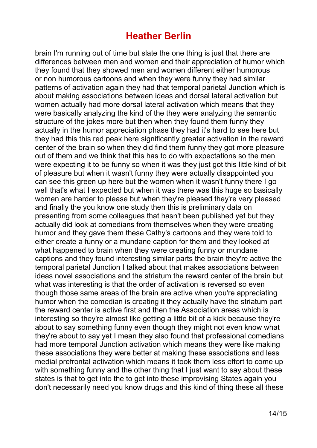brain I'm running out of time but slate the one thing is just that there are differences between men and women and their appreciation of humor which they found that they showed men and women different either humorous or non humorous cartoons and when they were funny they had similar patterns of activation again they had that temporal parietal Junction which is about making associations between ideas and dorsal lateral activation but women actually had more dorsal lateral activation which means that they were basically analyzing the kind of the they were analyzing the semantic structure of the jokes more but then when they found them funny they actually in the humor appreciation phase they had it's hard to see here but they had this this red peak here significantly greater activation in the reward center of the brain so when they did find them funny they got more pleasure out of them and we think that this has to do with expectations so the men were expecting it to be funny so when it was they just got this little kind of bit of pleasure but when it wasn't funny they were actually disappointed you can see this green up here but the women when it wasn't funny there I go well that's what I expected but when it was there was this huge so basically women are harder to please but when they're pleased they're very pleased and finally the you know one study then this is preliminary data on presenting from some colleagues that hasn't been published yet but they actually did look at comedians from themselves when they were creating humor and they gave them these Cathy's cartoons and they were told to either create a funny or a mundane caption for them and they looked at what happened to brain when they were creating funny or mundane captions and they found interesting similar parts the brain they're active the temporal parietal Junction I talked about that makes associations between ideas novel associations and the striatum the reward center of the brain but what was interesting is that the order of activation is reversed so even though those same areas of the brain are active when you're appreciating humor when the comedian is creating it they actually have the striatum part the reward center is active first and then the Association areas which is interesting so they're almost like getting a little bit of a kick because they're about to say something funny even though they might not even know what they're about to say yet I mean they also found that professional comedians had more temporal Junction activation which means they were like making these associations they were better at making these associations and less medial prefrontal activation which means it took them less effort to come up with something funny and the other thing that I just want to say about these states is that to get into the to get into these improvising States again you don't necessarily need you know drugs and this kind of thing these all these